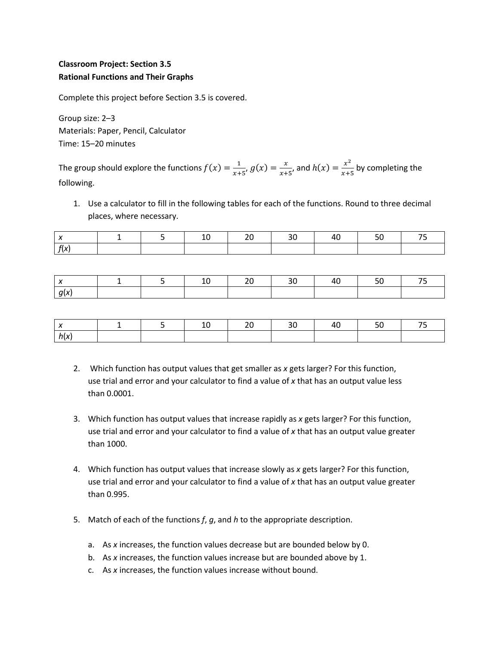## **Classroom Project: Section 3.5 Rational Functions and Their Graphs**

Complete this project before Section 3.5 is covered.

Group size: 2–3 Materials: Paper, Pencil, Calculator Time: 15–20 minutes

The group should explore the functions  $f(x) = \frac{1}{x+1}$  $\frac{1}{x+5}$ ,  $g(x) = \frac{x}{x+5}$  $\frac{x}{x+5}$ , and  $h(x) = \frac{x^2}{x+5}$  $\frac{x}{x+5}$  by completing the following.

1. Use a calculator to fill in the following tables for each of the functions. Round to three decimal places, where necessary.

|              |  |  | 4ա |  |
|--------------|--|--|----|--|
| $\mathbf{r}$ |  |  |    |  |

|  |  |  |  | -- |
|--|--|--|--|----|
|  |  |  |  |    |

- 2. Which function has output values that get smaller as *x* gets larger? For this function, use trial and error and your calculator to find a value of *x* that has an output value less than 0.0001.
- 3. Which function has output values that increase rapidly as *x* gets larger? For this function, use trial and error and your calculator to find a value of *x* that has an output value greater than 1000.
- 4. Which function has output values that increase slowly as *x* gets larger? For this function, use trial and error and your calculator to find a value of *x* that has an output value greater than 0.995.
- 5. Match of each of the functions *f*, *g*, and *h* to the appropriate description.
	- a. As *x* increases, the function values decrease but are bounded below by 0.
	- b. As *x* increases, the function values increase but are bounded above by 1.
	- c. As *x* increases, the function values increase without bound.